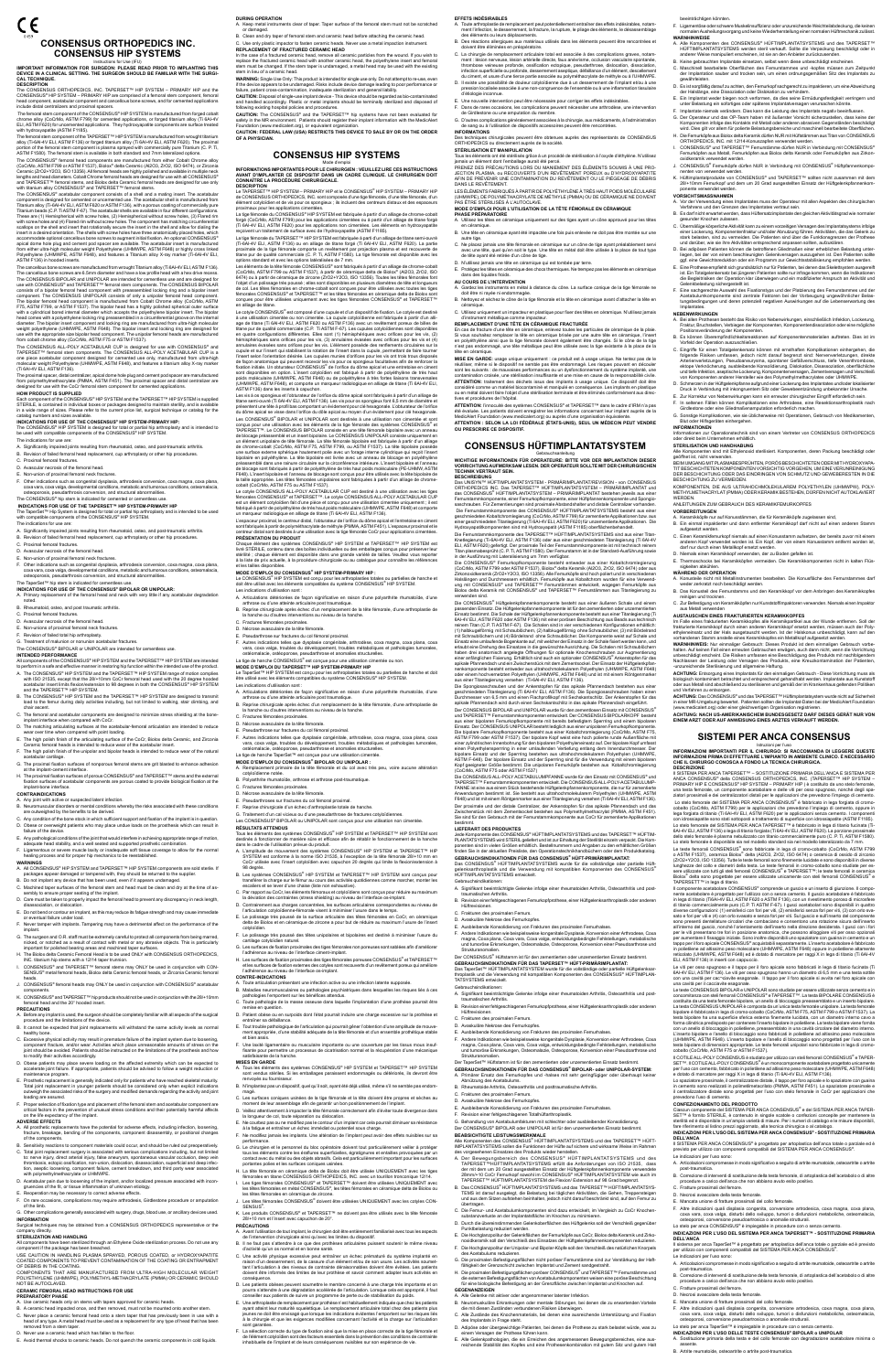CE **CONSENSUS ORTHOPEDICS INC.CONSENSUS HIP SYSTEMS**

Instructions for Use (IFU)<br>IMPORTANT INFORMATION FOR SURGEON: PLEASE READ PRIOR TO IMPLANTING THIS<br>DEVICE IN A CLINICAL SETTING. THE SURGEON SHOULD BE FAMILIAR WITH THE SURGI-

**CAL TECHNIQUE. DESCRIPTION** The CONSENSUS ORTHOPEDICS, INC. TAPERSET™ HIP SYSTEM – PRIMARY HIP and the

CONSENSUS® HIP SYSTEM – PRIMARY HIP are comprised of a femoral stem component, femoral<br>head component, acetabular component and cancellous bone screws, and for cemented applications<br>include distal centralizers and proximal

The femoral stem component of the CONSENSUS® HIP SYSTEM is manufactured from forged cobalt<br>chrome alloy (CoCMo, ASTM F799) for cemented applications, or forged titanium alloy (Ti 6Al-4V<br>ELI, ASTM F620) for uncemented appli

The femoral stem component of the TAPERSET™ HIP SYSTEM is manufactured from wrought titanium<br>alloy (Ti-6Al-4V ELI, ASTM F136) or forged titanium alloy (Ti 6Al-4V ELI, ASTM F620). The proximal<br>portion of the femoral stem c

The CONSENSUS® femoral head components are manufactured from either Cobalt Chrome alloy<br>(CoCrMo, ASTM F799 or ASTM F1537), Biolox<sup>8</sup> delta Ceramic (Al2O3, ZrO2, ISO 6474), or Zirconia<br>Ceramic (ZrO2+Y2O3, ISO 13356). All f

The CONSENSUS® acetabular component consists of a shell and a mating insert. The acetabular component is designed for cemented or uncemented use. The acetabular shell is manufactured from<br>Titanium alloy (Ti-6Al-4V ELI, ASTM F620 or ASTM F136), with a porous coating of commercially pure<br>Titanium beads (C.P. Ti AST scallops on the shell and insert that rotationally secure the insert in the shell and allow for dialing the shell and allow for dialing the insert in a desired orientation. The shells with screw holes have three anatomically placed holes, which<br>accommodate optional cancellous bone screws to augment initial fixation. An optional CONSENSUS®<br>apical dome hole plug from either ultra-high molecular weight Polyethylene (UHMWPE, ASTM F648) or highly cross linked<br>Polyethylene (UHMWPE, ASTM F648), and features a Titanium alloy X-ray marker (Ti-6Al-4V ELI,<br>ASTM F136) in hooded inserts.

The CONSENSUS ALL-POLY ACETABULAR CUP is designed for use with CONSENSUS® and<br>TAPERSET™ femoral stem components. The CONSENSUS ALL-POLY ACETABULAR CUP is a one piece acetabular component designed for cemented use only, manufactured from ultra-high molecular weight Polyethylene (UHMWPE, ASTM F648), and features a titanium alloy X-ray marker (Ti 6Al-4V ELI, ASTM F136).

The proximal spacer, distal centralizer, apical dome hole plug and cement pod spacer are manufactured<br>from polymethylmethacrylate (PMMA, ASTM F451). The proximal spacer and distal centralizer are<br>designed for use with the **HOW PRODUCT IS SUPPLIED**

I**NDICATIONS FOR USE OF THE CONSENSUS<sup>®</sup> HIP SYSTEM-PRIMARY HIP:**<br>The CONSENSUS® HIP SYSTEM is designed for total or partial hip arthroplasty and is intended to<br>be used with compatible components of the CONSENSUS® HIP SYST The indications for use are:

 **INDICATIONS FOR USE OF THE TAPERSET™ HIP SYSTEM-PRIMARY HIP** The TaperSet™ Hip System is designed for total or partial hip arthroplasty and is intended to be used <br>with compatible components of the CONSENSUS® HIP SYSTEM.

The cancellous bone screws are manufactured from wrought Titanium alloy (Ti 6Al-4V ELI, ASTM F136). The cancellous bone screws are 6.5mm diameter and have a low profile head with a hex drive recess. The CONSENSUS BIPOLAR and UNIPOLAR are intended for cementless use and are designed for<br>use with CONSENSUS® and TAPERSET™ femoral stem components. The CONSENSUS BIPOLAR<br>consists of a bipolar femoral head component with pr The bipolar femoral head component is manufactured from Cobalt Chrome alloy (CoCrMo, ASTM F75, ASTM F799, or ASTM F1537). The bipolar head has a highly polished spherical outer surface with a cylindrical bored internal diameter which accepts the polyethylene bipolar insert. The bipolar head comes with a polyethylene locking ring preassembled in a circumferential groove on the internal diameter. The bipolar insert component and locking ring are manufactured from ultra-high molecular weight polyethylene (UHMWPE, ASTM F648). The bipolar insert and locking ring are designed for use with the appropriate size bipolar head component. The unipolar femoral heads are manufactured from cobalt chrome alloy (CoCrMo, ASTM F75 or ASTM F1537).

**INTENDED PERFORMANCE**<br>All components of the CONSENSUS® HIP SYSTEM and the TAPERSET™ HIP SYSTEM are intended to perform in a safe and effective manner in restoring hip function within the intended use of the product.

Each component of the CONSENSUS® HIP SYSTEM and the TAPERSET™ HIP SYSTEM is supplied STERILE, is contained in individual boxes or packages designed to maintain sterility, and is available in a wide range of sizes. Please refer to the current price list, surgical technique or catalog for the

catalog numbers and sizes available.

A. Significantly impaired joints resulting from rheumatoid, osteo, and post-traumatic arthritis.

- healing process and for proper hip mechanics to be reestablished.<br>WARNINGS<br>A. All CONSENSUS® HIP SYSTEM and TAPERSET™ HIP SYSTEM components are sold sterile. If<br>packages appear damaged or tampered with, they should be r
- B. Do not implant any device that has been used, even if it appears undamaged.
- C. Machined taper surfaces of the femoral stem and head must be clean and dry at the time of as-sembly to ensure proper seating of the implant.
- 
- D. Care must be taken to properly impact the femoral head to prevent any discrepancy in neck length, disassociation, or dislocation. E. Do not bend or contour an implant, as this may reduce its fatigue strength and may cause immediate
- or eventual failure under load.
- F. Never tamper with implants. Tampering may have a detrimental affect on the performance of the implant.
- G. The surgeon and O.R. staff must be extremely careful to protect all components from being marred, nicked, or notched as a result of contact with metal or any abrasive objects. This is particularly important for polished bearing areas and machined taper surfaces.
- H. The Biolox delta Ceramic Femoral Head is to be used ONLY with CONSENSUS ORTHOPEDICS, INC. titanium hip stems with a 12/14 taper trunnion.
- I. CONSENSUS® and TAPERSET™ femoral stems may ONLY be used in conjunction with CON-SENSUS® metal femoral heads, Biolox delta Ceramic femoral heads, or Zirconia Ceramic femoral heads.
- J. CONSENSUS® femoral heads may ONLY be used in conjunction with CONSENSUS® acetabular
- components. K. CONSENSUS® and TAPERSET™ hip products should not be used in conjunction with the 28/+10mm femoral head and the 20° hooded insert.
- B. Revision of failed femoral head replacement, cup arthroplasty or other hip procedures. C. Proximal femoral fractures.
- D. Avascular necrosis of the femoral head.
- . Non-union of proximal femoral neck fractures.
- F. Other indications such as congenital dysplasia, arthrodesis conversion, coxa magna, coxa plana, coxa vara, coxa valga, developmental conditions, metabolic and tumorous conditions, osteomalacia, osteoporosis, pseudarthrosis conversion, and structural abnormalities.

## The CONSENSUS® hip stem is indicated for cemented or cementless use.

The indications for use are:

A. Significantly impaired joints resulting from rheumatoid, osteo, and post-traumatic arthritis.

B. Revision of failed femoral head replacement, cup arthroplasty or other hip procedures.

C. Proximal femoral fractures.

D. Avascular necrosis of the femoral head.

E. Non-union of proximal femoral neck fractures.

F. Other indications such as congenital dysplasia, arthrodesis conversion, coxa magna, coxa plana,<br>Coxa vara, coxa valga, developmental conditions, metabolic and tumorous conditions, osteomalacia,<br>osteoporosis, pseudarth

The TaperSet™ hip stem is indicated for cementless use.

**INDICATIONS FOR USE OF THE CONSENSUS® BIPOLAR OR UNIPOLAR:**

A. Primary replacement of the femoral head and neck with very little if any acetabular degradation noted. B. Rheumatoid, osteo, and post traumatic arthritis.

- 
- C. Proximal femoral fractures. D. Avascular necrosis of the femoral head.
- E. Non-unions of proximal femoral neck fractures.
- F. Revision of failed total hip arthroplasty.
- G. Treatment of malunion or nonunion acetabular fractures.

## The CONSENSUS® BIPOLAR or UNIPOLAR are intended for cementless use.

Toute arthroplastie de remplacement peut potentiellement entraîner des effets indésirables, notamment l'infection, le desserrement, la fracture, la rupture, le pliage des éléments, le désassemblage

Des techniques chirurgicales peuvent être obtenues auprès des représentants de CONSENSUS ORTHOPEDICS ou directement auprès de la société. **STERILISATION ET MANIPULATION**<br>Tous les éléments ont été stérilisés grâce à un procédé de stérilisation à l'oxyde d'éthylène. N'utilisez<br>jamais un élément dont l'emballage aurait été percé. PRENEZ DES PRECAUTIONS LORS DU MANIEMENT DES ELEMENTS SOUMIS À UNE PRO-<br>JECTION PLASMA, ou RECOUVERTS D'UN REVÊTEMENT POREUX ou D'HYDROXYAPATITE<br>AFIN DE PRÉVENIR UNE CONTAMINATION DU REVÊTEMENT OU LE PIÉGEAGE DE DÉBRIS

LES ELEMENTS FABRIQUES A PARTIR DE POLYETHYLENE A TRES HAUT POIDS MOLECULAIRE<br>(UHMWPE), DE POLYMÉTHACRYLATE DE MÉTHYLE (PMMA) OU DE CÉRAMIQUE NE DOIVENT<br>PAS ÊTRE STÉRILISÉS À L'AUTOCLAVE.

- A. The CONSENSUS® HIP SYSTEM and the TAPERSET™ HIP SYSTEM range of motion complies with ISO 21535, except that the 28/+10mm CoCr femoral head used with the 20 degree hooded<br>acetabular insert limits flexion/extension to 98 degrees in both the CONSENSUS® HIP SYSTEM<br>and the TAPERSET™ HIP SYSTEM.
- B. The CONSENSUS® HIP SYSTEM and the TAPERSET™ HIP SYSTEM are designed to transmit load to the femur during daily activities including, but not limited to walking, stair climbing, and chair ascent.
- C. The femoral and acetabular components are designed to minimize stress shielding at the bone-implant interface when compared with CoCr.
- D. The matching articulating surfaces at the acetabular-femoral articulation are intended to reduce
- wear over time when compared with point loading.<br>E. The high polish finish of the articulating surface of the CoCr, Biolox delta Ceramic, and Zirconia<br>Ceramic femoral heads is intended to reduce wear of the acetabular ins
- F. The high polish finish of the unipolar and bipolar heads is intended to reduce wear of the natural acetabular cartilage. G. The proximal fixation surfaces of nonporous femoral stems are grit blasted to enhance adhesion
- at the implant-cement interface. H. The proximal fixation surfaces of porous CONSENSUS® and TAPERSET™ stems and the external
- tion surfaces of acetabular components are porous coated to provide biological fixation at the implant-bone interface.
- **CONTRAINDICATIONS**

external vice or suspected latent infection.

**AU COURS DE L'INTERVENTION**<br>A. Gardez les instruments en métal à distance du cône. La surface conique de la tige fémorale ne<br>doit être ni rayée ni endommagée. B. Nettoyez et séchez le cône de la tige fémorale et la tête en céramique avant d'attacher la tête en

- B. Neuromuscular disorders or mental conditions whereby the risks associated with these conditions are outweighed by the benefits to be derived. C. Any condition of the bone stock in which sufficient support and fixation of the implant is in question.
- D. Obese or overweight patients who may place undue loads on the prosthesis which can result in failure of the device.
- E. Any pathological conditions of the joint that would interfere in achieving appropriate range of motion, adequate head stability, and a well seated and supported prosthetic combination.
- F. Ligamentous or severe muscle laxity or inadequate soft tissue coverage to allow for the normal

**CONSENSUS HÜFTIMPLANTATSYSTEM** Gebrauchsanleitung **WICHTIGE INFORMATIONEN FÜR OPERATEURE: BITTE VOR DER IMPLANTATION DIESER VORRICHTUNG AUFMERKSAM LESEN. DER OPERATEUR SOLLTE MIT DER CHIRURGISCHEN TECHNIK VERTRAUT SEIN.**<br>BESCHREIBUNG<br>Das UNISYN™ HÜFTIMPLANTATSYSTEM - PRIMÄRIMPLANTAT/REVISION - von CONSENSUS

ORTHOPEDICS INC. Das TAPERSET™ HUFTIMPLANTATSYSTEM – PRIMARIMPLANTAT und<br>das CONSENSUS® HÜFTIMPLANTATSYSTEM – PRIMÄRIMPLANTAT bestehen jeweils aus einer<br>Femurstammkomponente, einer Femurkopfkomponente, einer Hüftpfannenko

Die Femurstammkomponente des CONSENSUS® HÜFTIMPLANTATSYSTEMS besteht aus einer<br>geschmiedeten Kobaltchromfegierung (ToCofMo, ASTM F799) für zementierte Applikationen. bzw. aus<br>einer geschmiedeten Titanlegierung (Ti 6Al-4V E

Die CONSENSUS® Femurkopfkomponente besteht entweder aus einer Kobaltchromlegierung<br>(CoCn/to, ASTM F799 oder ASTM F1537), Biolox® delta Keramik (Al2O3, ZrO2, ISO 6474) oder aus<br>Zirkonoxidkeramik (ZrO2+Y2O3, ISO 13356). Alle

verwenden sind.<br>Die CONSENSUS® Hüftgelenkpfannenkomponente besteht aus einer äußeren Schale und einem<br>Brasszenden Einsatz. Die Hüftgelenkpfannenkomponente ist für den zementierten oder unzermentierten<br>Einsatz bestimmt. Die

Einsatz eine umlaufende Bogenkante auf, mit welcher der Einsatz in der Schale fixiert werden kann, und<br>Erisatz eine umlaufende Bogenkante auf, mit welcher der Einsatz in der Schalen mit Schraublochern<br>haben drei anatomisch

Der CONSENSUS BIPOLAR und UNIPOLAR wurde für den zementlosen Einstat mit CONSENSUS®<br>Der CONSENSUS BIPOLAR und UNIPOLAR wurde für den zementlosen Einstat mit CONSENSUS®<br>aus einer bipolaren Femurkopfkomponente mit bereits b

Die CONSENSUS ALL-POLY ACETABULUMPFANNE wurde für den Einsatz mit CONSENSUS® und<br>TAPERSET™ Fernurstammkomponenten entwickelt. Die CONSENSUS ALL-POLY-ACETABULUMP-<br>FANNE ist eine aus einem Stück bestehende Hüftgelenkpfannen

Anwendungen bestimmt ist. Sie besteht aus ultrahochmolekularem Polyethylen (UHMWPE, ASTM<br>F648) und ist mit einem Röntgenmarker aus einer Titanlegierung versehen (Ti 6Al-4V ELI, ASTM F136).<br>Der proximale und der distale Cen

LIEFERART DES PRODUKTES<br>Jede Komponente des CONSENSUS® HÜFTIMPLANTATSYSTEMS und des TAPERSET™ HÜFTIM-<br>PLANTATSYSTEMS wird STERIL geliefert und ist zur Erhaltung der Sterilität einzeln verpackt. Die Kom-<br>ponenten sind in v

### **PRECAUTIONS**

- A. Before any implant is used, the surgeon should be completely familiar with all aspects of the surgical procedure and the limitations of the device.
- B. It cannot be expected that joint replacements will withstand the same activity levels as normal healthy bone.
- C. Excessive physical activity may result in premature failure of the implant system due to loosening, component fracture, and/or wear. Activities which place unreasonable amounts of stress on the joint should be avoided. Patients should be instructed on the limitations of the prosthesis and how it should be differed... Learns...<br>modify their activities accordingly
- D. Obese patients may place severe loading on the affected extremity which can be expected to accelerate joint failure. If appropriate, patients should be advised to follow a weight reduction or
- maintenance program.<br>E. Prosthetic replacement is generally indicated only for patients who have reached skeletal maturity.<br>Total joint replacement in younger patients should be considered only when explicit indications<br>ou
- F. Proper selection of fixation type and placement of the femoral stem and acetabular component are critical factors in the prevention of unusual stress conditions and their potentially harmful affects on the life expectancy of the implant.

### **ADVERSE EFFECTS**

- A. Signifikant beeinträchtigte Gelenke infolge einer rheumatoiden Arthritis, Osteoarthritis und post-traumatischen Arthritis.
- B. Revision einer fehlgeschlagenen Femurkopfprothese, einer Hüftgelenksarthroplastik oder anderen Hüftrevisionen.
- C. Frakturen des proximalen Femurs.
- D. Avaskuläre Nekrose des Femurkopfes.
- E. Ausbleibende Konsolidierung von Frakturen des proximalen Femurhalses.
- F. Andere Indikationen wie beispielsweise kongenitale Dysplasie, Konversion einer Arthrodese, Coxa magna, Coxa plana, Coxa vara, Coxa valga, entwicklungsbedingte Fehlstellungen, metabolische und tumoröse Erkrankungen, Osteomalazie, Osteoporose, Konversion einer Pseudoarthrose und **Strukturanomalien**

Der CONSENSUS<sup>e</sup> Hüftstamm ist für den zementierten oder unzementierten Einsatz bestimmt.<br>GEBRAUCHSINDIKATIONEN FÜR DAS TAPERSET™ HÜFT-PRIMÄRIMPLANTAT:<br>Das TaperSet™ HÜFTIMPLANTATSYSTEM wurde für die vollständige oder par

- A. All prosthetic replacements have the potential for adverse effects, including infection, loosening, fracture, breakage, bending of the components, component disassembly, or positional changes of the component
- Sensitivity reactions to component materials could occur, and should be ruled out preoperatively
- C. Total joint replacement surgery is associated with serious complications including, but not limited<br>to: nerve injury, direct arterial injury, false aneurysm, spontaneous vascular occlusion, deep vein<br>thrombosis, ectopic
- D. Acetabular pain due to loosening of the implant, and/or localized pressure associated with incon-gruencies of the fit, or tissue inflammation of unknown etiology.
- E. Reoperation may be necessary to correct adverse effects.
- F. On rare occasions, complications may require arthrodesis, Girdlestone procedure or amputation of the limb.
- G. Other complications generally associated with surgery, drugs, blood use, or ancillary devices used.

**INFORMATION**<br>Surgical techniq<br>company directly ment on<br>Il techniques may be obtained from a CONSENSUS ORTHOPEDICS representative or the<br>nv directly.

company directly.<br>STERILIZATION AND HANDLING<br>All components have been sterilized through an Ethylene Oxide sterilization process. Do not use any<br>Jal component if the package has been breached.<br>USE CAUTION IN HANDLING PLASM

OF DEBRIS IN THE CO

- E. Ausbleibende Konsolidierung von Frakturen des proximalen Femurhalses.
- F. Revision einer fehlgeschlagenen Totalhüftarthroplastik.
- G. Behandlung von Acetabulumfakturen mit schlechter oder ausbleibender Konsolidierung.<br>Der CONSENSUS® BIPOLAR oder UNIPOLAR ist für den unzementierten Einsatz bestimm

Der CONSENSUS® BIPOLAR oder UNIPOLAR ist für den unzementierten Einsatz bestimmt.<br>BEABSICHTIGTE LEISTUNGSMERKMALE<br>Alle Komponenten des CONSENSUS® HÜFTIMPLANTATSYSTEMS und des TAPERSET™ HÜFT-<br>IMPLANTATSYSTEMS sollen die Fu

A Der Bewegungsbereich des CONSENSUS® HÜFTIMPLANTATSYSTEMS und des TAPERSET™HÜFTIMPLANTATSYSTEMS erführt aus der mit dem mit dem mit 20 Grad ausgestellten Einsatz der Hüftgelenkpfannenkomponente verwendete der mit dem cons

COMPONENTS THAT ARE MANUFACTURED FROM ULTRA-HIGH MOLECULAR WEIGHT POLYETHYLENE (UHMWPE), POLYMETHYL-METHACRYLATE (PMMA) OR CERAMIC SHOULD NOT BE AUTOCLAVED.

## **CERAMIC FEMORAL HEAD INSTRUCTIONS FOR USE**

- **PREPARATORY PHASE**
- ALPARATORT PTIAGE<br>V. Use ceramic heads only on stems with tapers approved for ceramic heads.
- B. A ceramic head impacted once, and then removed, must not be mounted onto another stem.
- C. Never place a ceramic femoral head onto a stem taper that has previously been in use with a head of any type. A metal head must be used as a replacement for any type of head that has been removed from a stem taper.
- D. Never use a ceramic head which has fallen to the floor.
- E. Avoid thermal shocks to ceramic heads. Do not quench the ceramic components in cold liquids.

**EFFETS INDÉSIRABLES**

des éléments ou leurs déplacements.

B. Des réactions allergiques aux matériaux utilisés dans les éléments peuvent être rencontrées et

doivent être éliminées en préopératoire.<br>C. La chirurgie de remplacement articulaire total est associée à des complications graves, notam-<br>ment : lésion nerveuse, lésion artérielle directe, faux anévrisme, occlusion vascul

D. Il existe une possibilité de douleur cotyloïdienne due à un desserrement de l'implant et/ou à une pression localisée associée à une non-congruence de l'ensemble ou à une inflammation tissulaire d'étiologie inconnue.

E. Une nouvelle intervention peut être nécessaire pour corriger les effets indésirables.

F. Implantate niemals verändern. Dies kann die Leistung des Implantats negativ beeinflussen.<br>G. Der Operateur und das OP-Team haben mit äußerster Vorsicht sicherzustellen, dass keine der Gromenenten infolge des Kontakts mi H. Die Femurköpfe aus Biolox delta Keramik dürfen NUR mit Hüftstämmen aus Titan von CONSENSUS ORTHOPEDICS, INC. mit 12/14-Konuszapfen verwendet werden. I. CONSENSUS® und TAPERSET™ Femurstämme dürfen NUR in Verbindung mit CONSENSUS® Femurköpfen aus Metall, Femurköpfen aus Biolox delta Keramik oder Femurköpfen aus Zirkon-

J. CONSENSUS® Femurköpfe dürfen NUR in Verbindung mit CONSENSUS® Hüftpfannenkompo-nenten von verwendet werden. K. Hüftimplantatprodukte von CONSENSUS® und TAPERSET™ sollten nicht zusammen mit dem<br>28/+10mm Femurkopf und dem um 20 Grad ausgestellten Einsatz der Hüftgelenkpfannenkom-

F. Dans de rares occasions, les complications peuvent nécessiter une arthrodèse, une intervention de Girdlestone ou une amputation du membre. G. D'autres complications généralement associées à la chirurgie, aux médicaments, à l'administration de sang ou à l'utilisation de dispositifs accessoires peuvent être rencontrées.

**INFORMATIONS**

B. Es darf nicht erwartet werden, dass Hüftersatzimplantate den gleichen Aktivitätsgrad wie normaler gesunder Knochen zulassen.<br>C. Übermäßige körperiche Aktivität kann zu einem vorzeitigen Versagen des Implantatsystems infolge<br>einer Lockerung, Komponentenfraktur und/oder Abnutzung führen. Aktivitäten, die das Gelenk zu<br>ei

DANS LE REVÊTEMENT.

D. Bei adipösen Patienten können die betroffenen Gliedmaßen einer erheblichen Belastung unter-<br>liegen, bei der von einem beschleunigten Gelenkversagen auszugehen ist. Den Patienten sollte<br>ggf. eine Gewichtsreduktion oder e E. Eine Prothese empfiehlt sich grundsätzlich nur für Patienten, bei denen das Skelettsystem ausgereift ist. Ein Totalgelenkersatz bei jüngeren Patienten sollte nur infrage kommen, wenn die Indikationen die Begleitrisiken der Operation klar überwiegen und ein modifizierter Anspruch an Aktivität und

F. Eine sachgerechte Auswahl des Fixationstyps und der Platzierung des Femurstammes und der<br>Acetabulurnkomponente sind zentrale Faktoren bei der Vorbeugung ungewöhnlicher Belas-<br>tungsbedingungen und deren potenziell negati

**MODE D'EMPLOI POUR L'UTILISATION DE LA TÊTE FÉMORALE EN CÉRAMIQUE PHASE PRÉPARATOIRE** A. Utilisez les têtes en céramique uniquement sur des tiges ayant un cône approuvé pour les têtes

en céramique.

dans des liquides froids.<br>AU COURS DE L'INTERVENTION

autre tige

B. Une tête en céramique ayant été impactée une fois puis enlevée ne doit pas être montée sur une

C. Ne placez jamais une tête fémorale en céramique sur un cône de tige ayant préalablement servi<br>avec une tête, quel qu'en soit le type. Une tête en métal doit être utilisée à la place de tout type<br>de tête ayant été retir

D. N'utilisez jamais une tête en céramique qui est tombée par terre.

E. Protégez les têtes en céramique des chocs thermiques. Ne trempez pas les éléments en céramique

céramique.

BEIM UMGANG MIT PLASMABESPRUHTEN, POROS BESCHICHTETEN ODER MIT HYDROXYAPA-<br>TIT BESCHICHTETEN KOMPONENTEN VORSICHTIG VORGEHEN, UM EINE VERUNREINIGUNG<br>DER BESCHICHTUNG ODER DAS EINDRINGEN VON SCHMUTZ UND GEWEBERESTEN IN DIE<br> KOMPONENTEN, DIE AUS ULTRAHOCHMOLEKULAREM POLYETHYLEN (UHMWPW), POLY-METHYLMETHACRYLAT (PMMA) ODER KERAMIK BESTEHEN, DÜRFEN NICHT AUTOKLAVIERT

C. Utilisez uniquement un impacteur en plastique pour fixer des têtes en céramique. N'utilisez jamais d'instrument métallique comme impacteur.

**REMPLACEMENT D'UNE TÊTE EN CÉRAMIQUE FRACTURÉE**

sigkeiten abkühlen **WÄHREND DER OPERATION**

Si vous souhaitez remplacer la tête en céramique brisée par une autre tête en céramique, l'insert en polyéthylène ainsi que la tige fémorale doivent également être changés. Si le cône de la tige n'est pas endommagé, une tête métallique peut être utilisée avec la tige existante à la place de la

**MISE EN GARDE:** usage unique uniquement : ce produit est à usage unique. Ne tentez pas de le<br>réutiliser, même si le dispositif ne semble pas être endommagé. Les risques pouvant en découler sont les suivants : de mauvaises performances ou un dysfonctionnement du système implanté, une contamination croisée, une stérilisation insuffisante et une mise en cause de la responsabilité civile. **ATTENTION:** traitement des déchets issus des implants à usage unique. Ce dispositif doit être considéré comme un matériel biocontaminé et manipulé en conséquence. Les implants en plastique ou en métal doivent faire l'objet d'une stérilisation terminale et être éliminés conformén

tête en céramique.

tives et procédures de l'hôpital

**ACHTUNG: NACH US-AMERIKANISCHEM BUNDESGESETZ DARF DIESES GERÄT NUR VON EINEM ARZT ODER AUF ANWEISUNG EINES ARZTES VERKAUFT WERDEN. SISTEMI PER ANCA CONSENSUS** Istruzioni per l'uso<br>INFORMAZIONI IMPORTANTI PER IL CHIRURGO: SI RACCOMANDA DI LEGGERE QUESTE<br>INFORMAZIONI PRIMA DI EFFETTUARE L'IMPIANTO IN AMBIENTE CLINICO. È NECESSARIO<br>CHE IL CHIRURGO CONOSCA A FONDO LA TECNICA CHIRURG **DESCRIZIONE** Il SISTEMA PER ANCA TAPERSET™ – SOSTITUZIONE PRIMARIA DELL'ANCA E SISTEMA PER ANCA CONSENSUS® della CONSENSUS ORTHOPEDICS, INC. (TAPERSET™ HIP SYSTEM –<br>PRIMARY HIP E CONSENSUS® HIP SYSTEM – PRIMARY HIP ) è costituito da uno stelo femorale, una testa femorale, un componente acetabolare e delle viti per osso spugnoso, nonché degli spa-ziatori prossimali e dei centralizzatori distali per le applicazioni che prevedono l'impiego di cemento. Lo stelo femorale del SISTEMA PER ANCA CONSENSUS® è fabbricato in lega forgiata di cromo-cobalto (CoCMo, ASTM F799) per le applicazioni che prevedono l'impiego di cemento, oppure in<br>lega forgiata di titanio (Ti 6AI-4V ELI,

Lo stelo femorale del SISTEMA PER ANCA TAPERSET™ è fabbricato in lega di titanio fucinata (Ti-<br>6Al-4V ELI, ASTM F136) o lega di titanio forgiata (Ti 6Al-4V ELI, ASTM F620). La porzione prossimale<br>dello stelo femorale è pl

Le teste femorali CONSENSUS<sup>®</sup> sono fabbricate in lega di cromo-cobalto (CoCrMo, ASTM F799<br>o ASTM F1537), ceramica Biolox® delta (Al2O3, ZrO2, ISO 6474) o ceramica di ossido di zirconio<br>(ZrO2+Y2O3, ISO 13356). Tutte le tes

Il componente acetabolare CONSENSUS® comprende un guscio e un inserto di giunzione. Il compo-<br>nente acetabolare è progettato per l'utilizzo con o senza cemento. Il guscio acetabolare è fabbricato<br>in lega di titanio (Ti6Al-

**ATTENTION:** l'innocuité des systèmes CONSENSUS® et TAPERSET™ dans le cadre d'IRM n'a pas été évaluée. Les patients doivent enregistrer les informations concernant leur imp<br>edicalert ord) ou auprès d'une organisation équivale MedicAlert Foundation (www.medicalert.org) ou auprès d'une organisation équivalente. **ATTENTION : SELON LA LOI FÉDÉRALE (ÉTATS-UNIS), SEUL UN MÉDECIN PEUT VENDRE** 

**OU PRESCRIRE CE DISPOSITIF.**

sato e fori per viti e (4) con orlo svasato e senza fori per viti. Sul guscio e sull'inserto del componente sono presenti dentellature circolari che combaciano e consentono una rotazione sicura dell'inserto all'interno del guscio, nonché l'orientamento dell'inserto nella direzione desiderata. I gusci con i for<br>per le viti presentano tre fori in posizione anatomica, che possono alloggiare viti per osso opzional per le viti presentano tre fori in posizione anatomica, che possono alloggiare viti per osso opzionali<br>per aumentare il fissaggio iniziale. Sono inoltre disponibili uno spaziatore con guaina in cemento e un<br>tappo per il f

Le viti per osso spugnoso e il tappo per il foro apicale sono fabbricati in lega di titanio fucinata (Ti<br>6Al-4V ELI, ASTM F136). Le viti per osso spugnoso hanno un diametro di 6,5 mm e una testa sottile<br>con una cavità per

Le teste CONSENSUS BIPOLAR e UNIPOLAR sono studiate per essere utilizzate senza cemento e in<br>concomitanza con steli femorali CONSENSUS® e TAPERSET™. La testa BIPOLARE CONSENSUS è

costituita da una testa femorale bipolare, un anello di bloccaggio preassemblato e un inserto bipolare.<br>La testa CONSENSUS UNIPOLAR è composta da un'unica testa femorale unipolare. La testa femorale<br>bipolare è fabbricata i

Lo spaziatore prossimale, il centralizzatore distale, il tappo per foro apicale e lo spaziatore con guaina<br>in cemento sono realizzati in polimetilmetacrilato (PMMA, ASTM F451). Lo spaziatore prossimale e <br>il centralizzator

Ciascun componente del SISTEMA PER ANCA CONSENSUS® e del SISTEMA PER ANCA TAPER-<br>SET™ è fornito STERILE, è contenuto in singole scatole o confezioni concepite per mantenere la<br>sterilità et è disponibile in un'ampia variet **INDICAZIONI PER L'USO DEL SISTEMA PER ANCA CONSENSUS® - SOSTITUZIONE PRIMARIA DELL'ANCA**<br>Il SISTEMA PER ANCA CONSENSUS® è progettato per artoplastica dell'anca totale o parziale ed è<br>previsto per utilizzo con componenti compatibili del SISTEMA PER ANCA CONSENSUS<sup>®</sup>.

in der Ausführung mit Lateralisierung um 7mm verfügbar.

ique, enlevez toutes les particules de céramique de la plaie

Lo stelo per anca CONSENSUS® è impiegabile in procedure con o senza cemento. **INDICAZIONI PER L'USO DEL SISTEMA PER ANCA TAPERSET™ - SOSTITUZIONE PRIMARIA** 

osteoporosi, conversione pseudoartrosica o anomalie strutturali. erSet™ è impiegabile in procedure con o senza ce **INDICAZIONI PER L'USO DELLE TESTE CONSENSUS® BIPOLAR o UNIPOLAR** A. Sostituzione primaria della testa e del collo femorale con degradazione

C. Use only plastic impactor to fasten ceramic heads. Never use a metal impaction instrumen **REPLACEMENT OF FRACTURED CERAMIC HEAD**

In the case of a fractured ceramic head, remove all ceramic particles from the wound. If you wish to<br>replace the fractured ceramic head with another ceramic head, the polyethylene insert and femoral<br>stem must be changed. I

La tige fémorale du TAPERSET™ HIP SYSTEM est fabriquée à parti d'un alliage de titane semi-ouvré (Ti-6Al-4V ELI, ASTM F136) ou en alliage de titane forgé (Ti 6Al-4V ELI, ASTM F620). La partie proximale de la tige fémorale comporte un revêtement par projection plasma et est recouverte de<br>titane pur de qualité commerciale (C. P. Ti, ASTM F1580). La tige fémorale est disponible avec les<br>options standard et avec le

Les éléments de la tête fémorale CONSENSUS® sont fabriqués à partir d'un alliage de chrome-cobalt (CoCrMo, ASTM F799 ou ASTM F1537), à partir de céramique de zircone (ZrO2+Y2O3, ISO 13356). Toutes les têtes fémorales fort

Le cotyle CONSENSUS® est composé d'une cupule et d'un dispositif de fixation. Le cotyle est destiné à une utilisation cimentée ou non cimentée. La cupule cotyloïdieme est fabriquée à partir d'un alli-<br>age de titane (Ti 6AI-4V ELI, ASTM F620 ou ASTM F136) avec un revêtement poreux de billes de<br>titane pur de qualité commer l'insert selon l'orientation désirée. Les cupules munies d'orifices pour les vis ont trois trous disposés<br>de façon anatomique qui peuvent recevoir les vis pour os spongieux facultatives afin de renforcer la<br>fixation initi sont disponibles en option. L'insert cotyloïdien est fabriqué à partir de polyéthylène de très haut<br>poids moléculaire (UHMWPE, ASTM F648) ou de polyéthylène à très fortes liaisons transversales<br>(UHMWPE, ASTM F648), et comp

### Gebrauchsindikationen:

**LIEFERART DES PRODUKTES** 

Les vis à os spongieux et l'obturateur de l'orifice du dôme apical sont fabriqués à partir d'un alliage de titane semi-ouvré (Ti 6Al-4V ELI, ASTM F136). Les vis pour os spongieux font 6,5 mm de diamètre et présentent une tête à profil bas comportant un évidement pour clé hexagonale. L'obturateur de l'orifice du dôme apical se visse dans l'orifice du dôle apical au moyen d'un évidement pour clé hexagonale. Les CONSENSUS® BIPOLAR et UNIPOLAR sont destinés à une utilisation non cimentée et sont conçus pour une utilisation avec les éléments de la tige fémorale des systèmes CONSENSUS® et<br>TAPERSET™. Le CONSENSUS BIPOLAR consiste en une tête fémorale bipolaire avec un anneau de blocage préassemblé et un insert bipolaire. Le CONSENSUS UNIPOLAR consiste uniquement en un élément unipolaire de tête fémorale. La tête fémorale bipolaire est fabriquée à partir d'un alliage de chrome-cobalt (CoChMo, ASTM F75, ASTM F799, ou ASTM F1537). La tête bipolaire possède<br>une surface externe sphérique hautement polie avec un forage interne cylindrique qui repoit l'insert<br>bipolaire en polyéthylène. La tê

Le cotyle CONSENSUS ALL-POLY ACETABULAR CUP est destiné à une utilisation avec les tiges<br>fémorales CONSENSUS® et TAPERSET™. Le cotyle CONSENSUS ALL-POLY ACETABULAR CUP<br>est un élément cotyloïdien fait d'une pièce et conçu p

**PRESENTATION DU PRODUIT**<br>Chaque élément des systèmes CONSENSUS<sup>®</sup> HIP SYSTEM et TAPERSET™ HIP SYSTEM est<br>livre STÉRILE, contenu dans des boîtes individuelles ou des emballages conçus pour préserver leur<br>stérilité ; chaqu

### Gebrauchsindikationen:

- A. Signifikant beeinträchtigte Gelenke infolge einer rheumatoiden Arthritis, Osteoarthritis und post-traumatischen Arthritis.
- B. Revision einer fehlgeschlagenen Femurkopfprothese, einer Hüftgelenksarthroplastik oder anderen Hüftrevisionen.
- C. Frakturen des proximalen Femurs.
- D. Avaskuläre Nekrose des Femurkopfes.
- E. Ausbleibende Konsolidierung von Frakturen des proximalen Femurhalses.
- F. Andere Indikationen wie beispielsweise kongenitale Dysplasie, Konversion einer Arthrodese, Coxa magna, Coxa plana, Coxa vara, Coxa valga, entwicklungsbedingte Fehlstellungen, metabolische und tumoröse Erkrankungen, Osteomalazie, Osteoporose, Konversion einer Pseudoarthrose und Strukturanomalien.

### Der TaperSet™ Hüftstamm ist für den zementierten oder unzementierten Einsatz b

**MODE D'EMPLOI DU CONSENSUS® HIP SYSTEM-PRIMARY HIP :** Le CONSENSUS® HIP SYSTEM est conçu pour les arthroplasties totales ou partielles de hanche et<br>doit être utilisé avec les éléments compatibles du système CONSENSUS® HIP SYSTEM.

- B. Reprise chirurgicale après échec d'un remplacement de la tête fémorale, d'une arthroplastie de la hanche ou d'autres interventions au niveau de la hanche.
- C. Fractures fémorales proximales.
- D. Nécrose avasculaire de la tête fémorale. E. Pseudarthrose sur fractures du col fémoral proximal.
- 
- 
- F. Autres indications telles que dysplasie congénitale, arthrodèse, coxa magna, coxa plana, coxa<br>vara, coxa valga, troubles du développement, troubles métaboliques et pathologies tumorales,<br>ostéomalacie, ostéoporose, pseud

## Usted in ander, used por use, podde an experience of the contract of the contract of the handle CONSENSUS® est conçue pour une utilisation cimentée ou non.

La tige de hanche CONSENSUS™ est conçue pour une utilisation cimentée ou non.<br>**MODE D'EMPLOI DU TAPERSET™ HIP SYSTEM-PRIMARY HIP**<br>Le TaperSet™ HIP SYSTEM est conçu pour les arthroplasties totales ou partielles de hanche e être utilisé avec les éléments compatibles du système CONSENSUS® HIP SYSTEM.

- **GEBRAUCHSINDIKATIONEN FÜR DAS CONSENSUS® BIPOLAR- oder UNIPOLAR-SYSTEM:** A. Primärer Ersatz des Femurkopfes und -halses mit sehr geringfügiger oder überhaupt keiner Abnützung des Acetabulums.
- B. Rheumatoide Arthritis, Osteoarthritis und posttraumatische Arthritis.
- Frakturen des proximalen Femurs.
	- D. Avaskuläre Nekrose des Femurkopfes.
- Les indications d'utilisation sont :
- A. Articulations détériorées de façon significative en raison d'une polyarthrite rhumatoïde, d'une<br>- arthrose ou d'une atteinte articulaire post traumatique.<br>B. Reprise chirurgicale après échec d'un remplacement de la têt
- la hanche ou d'autres interventions au niveau de la hanche.
- C. Fractures fémorales proximales. D. Nécrose avasculaire de la tête fémorale.
- E. Pseudarthrose sur fractures du col fémoral proximal. F. Autres indications telles que dysplasie congénitale, arthrodèse, coxa magna, coxa plana, coxa<br>vara, coxa valga, troubles du développement, troubles métaboliques et pathologies tumorales,<br>ostéomalacie, ostéoporose, pseud
- 
- 

TEMS ist darauf ausgelegt, die Belastung bei täglichen Aktivitäten, die Gehen, Treppensteigen und aus dem Sitzen aufstehen beinhalten, jedoch nicht darauf beschränkt sind, auf den Femur zu übertragen. C. Die Femur- und Acetabulumkomponenten sind dazu entwickelt, im Vergleich zu CoCr Knochensubstanzverluste an der Implantatsfläche im Knochen zu minimieren. D. Durch die übereinstimmenden Gelenkoberflächen des Hüftgelenks soll der Verschleiß gegenüber Punktbelastung reduziert werden. E. Die Hochglanzpolitur der Gelenkflächen der Femurköpfe aus CoCr, Biolox delta Keramik und Zirko-noxidkeramik soll den Verschleiß des Einsatzes der Hüftgelenkpfannenkomponenten reduzieren. F. Die Hochglanzpolitur der Unipolar- und Bipolar-Köpfe soll den Verschleiß des natürlichen Knorpels

des Acetabulums reduzieren.<br>
G. Die proximalen Befestigungsflächen nicht poröser Femurstämme sind zur Verstärkung der Haft-<br>
fähigkeit der Grenzschicht zwischen Implantat und Zement sandgestrahlt.<br>
H. Die proximalen Befes

- CoCr utilisée avec l'insert cotyloïdien avec capuchon 20 degrés qui limite la flexi 98 degrés.
- B. Les systèmes CONSENSUS® HIP SYSTEM et TAPERSET™ HIP SYSTEM sont conçus pour
- transférer la charge sur le fémur au cours des activités quotidiennes comme marcher, monter les<br>escaliers et se lever d'une chaise (liste non exhaustive).<br>C. Par rapport au CoCr, les éléments fémoraux et cotyloïdiens sont
- D. Contrairement aux charges concentrées, les surfaces articulaires correspondantes au niveau de l'articulation cotyloïdienne-fémorale visent à minimiser l'usure dans le temps.
- E. Le polissage très poussé de la surface articulaire des têtes fémorales en CoCr, en céramique delta de Biolox et en céramique de zircone a pour but de réduire au maximum l'usure de l'insert
- cotyloïdien. F. Le polissage très poussé des têtes unipolaires et bipolaires est destiné à minimiser l'usure du artilage cotyloïdien naturel.
- G. Les surfaces de fixation proximales des tiges fémorales non poreuses sont sablées afin d'améliorer l'adhérence au niveau de l'interface ciment-implant.
- H. Les surfaces de fixation proximales des tiges fémorales poreuses CONSENSUS® et TAPERSET™<br>et les surfaces de fixation externes des cotyles sont recouverts d'un revêtement poreux qui améliore l'adhérence au niveau de l'interface os-implant.

- محبحت<br>A. Ton présentant une infection active ou une infection latente supposée.
- B. Maladies neuromusculaires ou pathologies psychiatriques dans lesquelles les risques liés à ces pathologies l'emportent sur les bénéfices attendus.
- C. Toute pathologie de la masse osseuse dans laquelle l'implantation d'une prothèse pourrait être
- remise en question. D. Patient obèse ou en surpoids dont l'état pourrait induire une charge excessive sur la prothèse et entraîner sa défaillance.
- E. Tout trouble pathologique de l'articulation qui pourrait gêner l'obtention d'une amplitude de mouve-ment appropriée, d'une stabilité adéquate de la tête fémorale et d'un ensemble prothétique stable et bien assis
- F. Une laxité ligamentaire ou musculaire importante ou une couverture par les tissus mous insuf-fisante pour permettre un processus de cicatrisation normal et la récupération d'une mécanique satisfaisante de la hanche.

- A. Tous les éléments des systèmes CONSENSUS® HIP SYSTEM et TAPERSET™ HIP SYSTEM sont vendus stériles. Si les emballages paraissent endomnagés ou détéries, ils des emballages paraissent en renvés au fournisseur.
- B. N'implantez pas un dispositif, quel qu'il soit, ayant été déjà utilisé, même s'il ne semble pas endom-
- magé. C. Les surfaces coniques usinées de la tige fémorale et la tête doivent être propres et sèches au moment de leur assemblage afin de garantir un bon positionnement de l'implant.
- D. Veillez attentivement à impacter la tête fémorale correctement afin d'éviter toute divergence dans la longueur de col, toute séparation ou dislocation.
- E. Ne courbez pas ou ne modifiez pas le contour d'un implant car cela pourrait diminuer sa résistance à la fatigue et entraîner un échec immédiat ou potentiel sous charge.
- ue et entraîner un échec immédiat ou potentiel sous charge.<br>fiez jamais les implants. Une altération de l'implant peut avoir des effets nuisibles sur sa performance.
- G. Le chirurgien et le personnel du bloc opératoire doivent tout particulièrement veiller à protéger<br>tous les éléments contre les éraflures superficielles, égrationures et entailles provoquées par un tents contre les éraflures superficielles, égratignures et entailles provoqué contact avec du métal ou des objets abrasifs. Cela est particulièrement important pour les surfaces portantes polies et les surfaces coniques usinées.
- H. La tête fémorale en céramique delta de Biolox doit être utilisée UNIQUEMENT avec les tiges Fremorales en titane CONSENSUS ORTHOPEDICS, INC. avec un tourillon tronconique 12/14.
- l. Les tiges fémorales CONSENSUS® et TAPERSET™ doivent être utilisées UNIQUEMENT avec<br>les têtes fémorales en métal CONSENSUS®, les têtes fémorales en céramique delta de Biolox ou
- les têtes fémorales en céramique de zircone. J. Les têtes fémorales CONSENSUS® doivent être utilisées UNIQUEMENT avec les cotyles CON- ${\tt SENSUS}^\circ$ .
- K. Les produits CONSENSUS® et TAPERSET™ ne doivent pas être utilisés avec la tête fémorale<br>28/+10 mm et l'insert avec capuchon de 20°.

**GEGENANZEIGEN**

A. Alle Gelenke mit aktiver oder angenommener latenter Infektion.

B. Neuromuskuläre Erkrankungen oder mentale Störungen, bei denen die zu erwartenden Vorteile die mit diesen Zuständen verbundenen Risiken überwiegen. C. Alle Zustände des Knochenmaterials, bei denen eine ausreichende Unterstützung und Fixation des Implantats in Frage steht. D. Adipöse oder übergewichtige Patienten, bei denen die Prothese zu stark belastet würde, was zu einem Versagen der Prothese führen kann. E. Alle Gelenkpathologien, die ein Erreichen des angemessenen Bewegungsbereiches, eine aus-reichende Stabilität des Kopfes und eine Prothesenkombination mit gutem Sitz und gutem Halt beeinträchtigen könnten.

F. Ligamentöse oder schwere Muskelinsuffizienz oder unzureichende Weichteilabdeckung, die keinen normalen Ausheilungsvorgang und keine Wiederherstellung einer normalen Hüftmechanik zulässt. **WARNHINWEISE**<br>A. Alle Komponenten des CONSENSUS® HÜFTIMPLANTATSYSTEMS und des TAPERSET™<br>- HÜFTIMPLANTATSYSTEMS werden steril verkauft. Sollte die Verpackung beschädigt oder in HÜFTIMPLANTATSYSTEMS werden steril verkauft. Sollte die Verpackung beschädigt<br>anderer Weise manipuliert erscheinen, ist sie an den Anbieter zurückzusenden. B. Keine gebrauchten Implantate einsetzen, selbst wenn diese unbeschädigt erscheinen.<br>C. Maschinell bearbeitete Oberflächen des Femurstammes und -konfes müssen zum Zeitnunk C. Maschinell bearbeitete Oberflächen des Femurstammes und -kopfes müssen zum Zeitpunkt der Implantation sauber und trocken sein, um einen ordnungsgemäßen Sitz des Implantats zu gewährleisten. D. Es ist sorgfältig darauf zu achten, den Femurkopf sachgerecht zu impaktieren, um eine Abweichung der Halslänge, eine Dissoziation oder Dislokation zu verhindern. E. Ein Implantat weder biegen noch verformen, da dies seine Ermüdungsfestigkeit verringern und unter Belastung ein sofortiges oder späteres Implantatversagen verursachen könnte.

oxidkeramik verwendet werden.

**VORSICHTSMASSNAHMEN** A. Vor der Verwendung eines Implantates muss der Operateur mit allen Aspekten des chirurgischen

Verfahrens und den Grenzen des Implantates vertraut sein.

Gelenkbelastung sichergestellt ist.

**NEBENWIRKUNGEN**

A. Bei allen Prothesen besteht das Risiko von Nebenwirkungen, einschließlich Infektion, Lockerung, Fraktur, Bruchstellen, Verbiegen der Komponenten, Komponentendissoziation oder eine mögliche

Positionsveränderung der Komponenten.

 $F$  Hilfsgeräten einhergehen.

B. Es können Überempfindlichkeitsreaktionen auf Komponentenmaterialien auftreten. Dies ist im Vorfeld der Operation auszuschließen.

C. Eingriffe für einen Totalgelenkersatz können mit ernsthaften Komplikationen einhergehen, die folgende Risiken umfassen, jedoch nicht darauf begrenzt sind: Netvenwerletzungen, direktenwerletzungen, Pseudoaneurysma, sport

D. Schmerzen in der Hüftgelenkpfanne aufgrund einer Lockerung des Implantates und/oder lokalisierter Druck in Verbindung mit inkongruentem Sitz oder Gewebeentzündung unbekannter Ursache. E. Zur Korrektur von Nebenwirkungen kann ein erneuter chirurgischer Eingriff erforderlich sein.<br>F. In seltenen Fällen können Kompikationen eine Arthrodese, eine Resektionsarthroplastik nach<br>· Girdlestone oder eine Glied G. Sonstige Komplikationen, wie sie üblicherweise mit Operationen, Gebrauch von Medikamenten,

**INFORMATIONEN**

Informationen zur Operationstechnik sind von einem Vertreter von CONSENSUS ORTHOPEDICS

**STERILISATION UND HANDHABUNG**<br>Alle Komponenten sind mit Ethylenoxid sterilisiert. Komponenten, deren Packung beschädigt oder<br>geöffnet ist, nicht verwenden.

WERDEN. ANLEITUNGEN ZUM GEBRAUCH DES KERAMIKFEMURKOPFES **VORBEREITUNGEN** A. Keramikköpfe nur auf Konusstämmen, die für Keramikköpfe zugelassen sind,

B. Ein einmal impaktierter und dann entfernter Keramikkopf darf nicht auf einen anderen Stamm aufgesetzt werden. C. Einen Keramikfemurkopf niemals auf einen Konusstamm aufsetzen, der bereits zuvor mit einem anderen Kopf verwendet worden ist. Ein Kopf, der von einem Konusstamm entfernt worden ist, darf nur durch einen Metallkopf ersetzt werden.

D. Niemals einen Keramikkopf verwenden, der zu Boden gefallen ist.

A. Konusteile nicht mit Metallinstrumenten bearbeiten. Die Konusfläche des Femurstammes darf

weder zerkratzt noch beschädigt werden.

oder direkt beim Unternehmen erhältlich

B. Das Konusteil des Femurstamms und den Keramikkopf vor dem Anbringen des Keramikkopfes reinigen und trocknen. C. Zur Befestigung von Keramikköpfen nur Kunststoffimpaktoren verwenden. Niemals einen Impaktor

lm Falle eines frakturierten Keramikkopfes alle Keramikpartikel aus der Wunde entfernen. Soll der<br>frakturierte Keramikkopf durch einen anderen Keramikkopf ersetzt werden, müssen auch der Poly-<br>ethyleneinsatz und der Hals a **WARNHINWEIS:** Nur einmaliger Gebrauch: Dieses Produkt ist dem einmaligen Gebrauch vorbe-halten. Auf keinen Fall einen erneuten Gebrauchen erwägen, auch dann nicht, wenn die Vorrichtung unbeschädigt erscheint. Die Risiken umfassen eine Beschädigung des Produkts mit nachfolgender Nachlassen der Leistung oder Versagen des Produkts, eine Kreuzkontamination der Patienten,<br>-unzureichende Sterilisierung und allgemeine Haftung. **ACHTUNG:** Entsorgung eines Implantats für den einmaligen Gebrauch - Diese Vorrichtung muss als<br>biologisch kontaminiert betrachtet und entsprechend gehandhabt werden. Implantate aus Kunststoff<br>oder aus Metall sind abschlie

**ACHTUNG:** Das CONSENSUS® und das TAPERSET™ Hüftimplantatsystem wurde nicht auf Sicherheit<br>in einer MR-Umgebung bewertet. Patienten sollten die Implantat-Daten bei der MedicAlert Foundation

aus Metall verwenden **AUSTAUSCHEN EINES FRAKTURIERTEN KERAMIKKOPFES**

und Verfahren zu entsorgen.

Biolox<sup>®</sup> delta sono progettate pe<br>TAPERSETT™ in lega di titanio.

reticolato (Urliwith L. Normano, 1997)<br>ELI, ASTM F136) in inserti con cappu

una cavità per il cacciavite es

prevedono l'uso di cemento.<br>Predono l'uso di cemento.

(www.medicalert.org) oder einer gleichwertigen Organisation registrieren.

E. Thermoschocks bei Keramikköpfen vermeiden. Die Keramikkomponenten nicht in kalt

**CONFEZIONAMENTO DEL PRODOTTO** Ciascun componente del SISTEMA PER ANCA CONSENSUS®

ponente verwendet we

Le indicazioni per l'uso sono:

A. Articolazioni compromesse in modo significativo a seguito di artrite reumatoide, osteoartrite o artrite post-traumatica. B. Correzione di interventi di sostituzione della testa femorale, di artoplastica dell'acetabolo o di altre procedure a carico dell'anca che non abbiano avuto esito positivo.

F. Altre indicazioni quali displasia congenita, conversione artrodesica, coxa magna, coxa plana,<br>coxa vara, coxa valga, disturbi dello sviluppo, tumori o disfunzioni metaboliche, osteomalacia,<br>osteoporosi, conversione pseu

Il sistema per anca TaperSet™ è progettato per artoplastica dell'anca totale o parziale ed è previsto<br>per utilizzo con componenti compatibili del SISTEMA PER ANCA CONSENSUS®.

C. Fratture prossimali del femore. D. Necrosi avascolare della testa femorale. E. Mancata unione di fratture prossimali del collo femorale.

**DELL'ANCA**

Le indicazioni per l'uso sono:

B. Correzione di interventi di sostituzione della testa femorale, di artoplastica dell'acetabolo o di altre procedure a carico dell'anca che non abbiano avuto esito positivo.

C. Fratture prossimali del femore. Necrosi avascolare della testa femorale E. Mancata unione di fratture prossimali del collo femorale.

wacorazioni co.<br>iost-traumatica

F. Altre indicazioni quali displasia congenita, conversione artrodesica, coxa magna, coxa plana, coxa vara, coxa valga, disturbi dello sviluppo, tumori o disfunzioni metaboliche, osteomalacia,

.<br>Articolazioni compromesse in modo significativo a seguito di artrite reumatoide, osteoartrite o artrite

assente.

B. Artrite reumatoide, osteoartrite o artrite post-traumatica.

testa bipolare di dimensioni appropriate. Le teste femorali unipolari sono fabbricate in lega di cro<br>Lesta bipolare di dimensioni appropriate. Le teste femorali unipolari sono fabbricate in lega di cro<br>Cobalto (CoCrMo, AST cobalto (CoCrMo, ASTM F75 or ASTM F1537).<br>Il COTILE ALL-POLY CONSENSUS è studiato per utilizzo con steli femorali CONSENSUS® e TAPER-<br>SET™. Il COTILE ALL-POLY CONSENSUS® e un monocomponente acetabolare progettato unicament

delta sono progettate per essere utilizzate unicamente con steli femorali CONSENSUS® e

**DURING OPERATION**

A. Keep metal instruments clear of taper. Taper surface of the femoral stem must not be scratched or damaged. B. Clean and dry taper of femoral stem and ceramic head before attaching the ceramic head.

stem in lieu of a ceramic head. **WARNING:** Single Use Only: This product is intended for single use only. Do not attempt to re-use, even if the device appears to be undamaged. Risks include device damage leading to poor performance or failure, patient cross-contamination, inadequate sterilization and general liability.

**CAUTION:** Disposal of single-use implant device - This device should be regarded as bio-contaminated<br>and handled accordingly. Plastic or metal implants should be terminally sterilized and disposed of<br>following existing ho

CAUTION: The CONSENSUS<sup>®</sup> and the TAPERSET™ hip systems have not been evaluated for

safety in the MR environment. Patients should register their implant information with the MedicAlert Foundation (www.medicalert.org), or equivalent organization. **CAUTION: FEDERAL LAW (USA) RESTRICTS THIS DEVICE TO SALE BY OR ON THE ORDER** 

**OF A PHYSICIAN.**

## **CONSENSUS HIP SYSTEMS**

Mode d'emploi<br>AVANT D'IMPLANTER CE DISPOSITLE CHIRURGIEN : VEUILLEZ LIRE CES INSTRUCTIONS<br>CONNAÎTRE LA PROCÉDURE CHIRURGICALE.<br>CONNAÎTRE LA PROCÉDURE CHIRURGICALE.

**DESCRIPTION**<br>Le TAPERSET™ HIP SYSTEM – PRIMARY HIP et le CONSENSUS® HIP SYSTEM – PRIMARY HIP de CONSENSUS ORTHOPEDICS, INC. sont composés d'une tige fémorale, d'une tête fémorale, d'un<br>élément cotyloïdien et de vis pour os spongieux ; ils incluent des centreurs distaux et des espaceurs<br>proximaux pour les applicati

La tige fémorale du CONSENSUS® HIP SYSTEM est fabriquée à partir d'un alliage de chrome-cobalt forgé (CoCrMo, ASTM F799) pour les applications cimentées ou à partir d'un alliage de titane forgé<br>(Ti 6Al-4V ELI, ASTM F620) pour les applications non cimentées. Les éléments en hydroxyapatite<br>reçoivent un traitement de

Les indications d'utilisation sont :

A. Articulations détériorées de façon significative en raison d'une polyarthrite rhumatoïde, d'une arthrose ou d'une atteinte articulaire post traumatique.

# **MODE D'EMPLOI DU CONSENSUS® BIPOLAR OU UNIPOLAR :** A. Remplacement primaire de la tête fémorale et du col avec très peu, voire aucune altération cotyloïdienne notée.

- B. Polyarthrite rhumatoïde, arthrose et arthrose post-traumatique. C. Fractures fémorales proximales.
- D. Nécrose avasculaire de la tête fémorale.
- E. Pseudarthroses sur fractures du col fémoral proximal.
- F. Reprise chirurgicale d'un échec d'arthroplastie totale de hanche.
- G. Traitement d'un cal vicieux ou d'une pseudarthrose de fractures cotyloïdiennes.
- Les CONSENSUS® BIPOLAR ou UNIPOLAR sont conçus pour une utilisation non cimentée. **RÉSULTATS ATTENDUS**
- Tous les éléments des systèmes CONSENSUS® HIP SYSTEM et TAPERSET™ HIP SYSTEM sont destinés à fonctionner de manière sûre et efficace afin de rétablir le fonctionnement de la hanche dans le cadre de l'utilisation prévue du produit.
- A. L'amplitude de mouvement des systèmes CONSENSUS® HIP SYSTEM et TAPERSET™ HIP SYSTEM est conforme à la norme ISO 21535, à l'exception de la tête fémorale 28/+10 mm en

## **CONTRE-INDICATIONS**

### **MISES EN GARDE**

## **PRÉCAUTIONS**

- A. Avant l'utilisation de tout implant, le chirurgien doit être entièrement familiarisé avec tous les aspects de l'intervention chirurgicale ainsi qu'avec les limites du dispositif.
- B. Il ne faut pas s'attendre à ce que des prothèses articulaires puissent soutenir le même niveau vité qu'un os normal et en bonne santé
- C. Une activité physique excessive peut entraîner un échec prématuré du système implanté en raison d'un desserrement, de la cassure d'un élément et/ou de son usure. Les activités soumettant l'articulation à des niveaux de contrainte déraisonnables doivent être évitées. Les patients doivent être informés des limites de leur prothèse et savoir comment adapter leurs activités en conséquence.
- D. Les patients obèses peuvent soumettre le membre concerné à une charge très importante et on urra s'attendre à une dégradation accélérée de l'articulation. Lorsque cela est approprié, il fau conseiller aux patients de suivre un programme de perte ou de stabilisation du poids.
- E. Une arthroplastie de remplacement par prothèse n'est habituellement indiquée que chez les patients ayant atteint leur maturité squelettique. Le remplacement articulaire total chez des patients plus jeunes ne doit être envisagé que lorsque les indications évidentes l'emportent sur les risques liés<br>à la chirurgie et que les exigences modifiées concernant l'activité et la charge sur l'articulation à la chirurgie et que les exigences modifiées concernant l'activité et la charge sur l'articulation sont garanties.
- .<br>Ection correcte du type de fixation ainsi que la mise en place correcte de la tige fémorale et de l'élément cotyloïdien sont des facteurs essentiels dans la prévention des conditions de contrainte inhabituelle de l'implant et de leurs conséquences nuisibles sur son espérance de vie.

GEBRAUCHSINDIKATIONEN FÜR DAS CONSENSUS® HÜFT-PRIMÄRIMPLANTAT:<br>Das CONSENSUS® HÜFTIMPLANTATSYSTEMS wurde für die vollständige oder partielle Hüft-<br>gelenksarthroplastik und die Verwendung mit kompatiblen Komponenten des CON